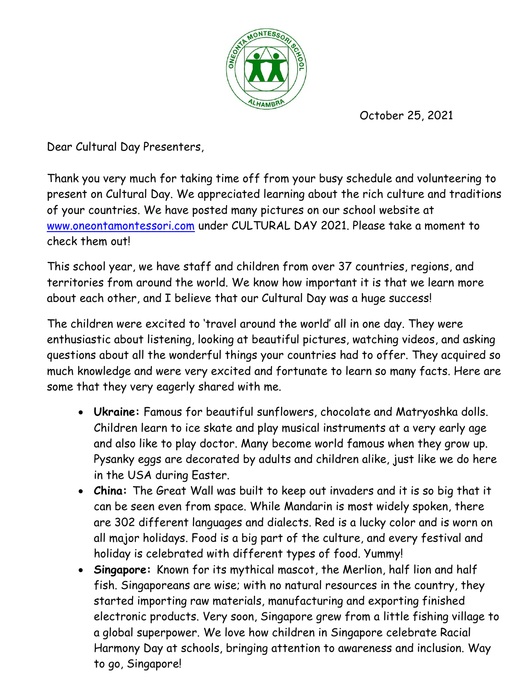

October 25, 2021

Dear Cultural Day Presenters,

Thank you very much for taking time off from your busy schedule and volunteering to present on Cultural Day. We appreciated learning about the rich culture and traditions of your countries. We have posted many pictures on our school website at www.oneontamontessori.com under CULTURAL DAY 2021. Please take a moment to check them out!

This school year, we have staff and children from over 37 countries, regions, and territories from around the world. We know how important it is that we learn more about each other, and I believe that our Cultural Day was a huge success!

The children were excited to 'travel around the world' all in one day. They were enthusiastic about listening, looking at beautiful pictures, watching videos, and asking questions about all the wonderful things your countries had to offer. They acquired so much knowledge and were very excited and fortunate to learn so many facts. Here are some that they very eagerly shared with me.

- Ukraine: Famous for beautiful sunflowers, chocolate and Matryoshka dolls. Children learn to ice skate and play musical instruments at a very early age and also like to play doctor. Many become world famous when they grow up. Pysanky eggs are decorated by adults and children alike, just like we do here in the USA during Easter.
- China: The Great Wall was built to keep out invaders and it is so big that it can be seen even from space. While Mandarin is most widely spoken, there are 302 different languages and dialects. Red is a lucky color and is worn on all major holidays. Food is a big part of the culture, and every festival and holiday is celebrated with different types of food. Yummy!
- Singapore: Known for its mythical mascot, the Merlion, half lion and half fish. Singaporeans are wise; with no natural resources in the country, they started importing raw materials, manufacturing and exporting finished electronic products. Very soon, Singapore grew from a little fishing village to a global superpower. We love how children in Singapore celebrate Racial Harmony Day at schools, bringing attention to awareness and inclusion. Way to go, Singapore!